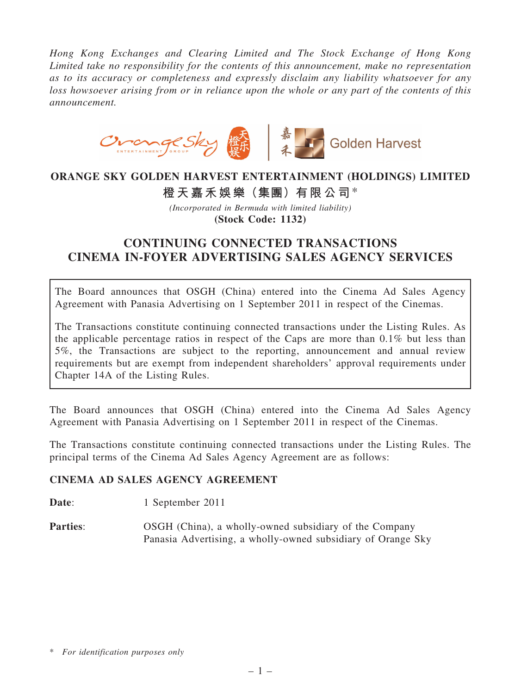*Hong Kong Exchanges and Clearing Limited and The Stock Exchange of Hong Kong Limited take no responsibility for the contents of this announcement, make no representation as to its accuracy or completeness and expressly disclaim any liability whatsoever for any loss howsoever arising from or in reliance upon the whole or any part of the contents of this announcement.*



### ORANGE SKY GOLDEN HARVEST ENTERTAINMENT (HOLDINGS) LIMITED

橙天嘉禾娛樂(集團)有限公司\*

*(Incorporated in Bermuda with limited liability)* (Stock Code: 1132)

# CONTINUING CONNECTED TRANSACTIONS CINEMA IN-FOYER ADVERTISING SALES AGENCY SERVICES

The Board announces that OSGH (China) entered into the Cinema Ad Sales Agency Agreement with Panasia Advertising on 1 September 2011 in respect of the Cinemas.

The Transactions constitute continuing connected transactions under the Listing Rules. As the applicable percentage ratios in respect of the Caps are more than 0.1% but less than 5%, the Transactions are subject to the reporting, announcement and annual review requirements but are exempt from independent shareholders' approval requirements under Chapter 14A of the Listing Rules.

The Board announces that OSGH (China) entered into the Cinema Ad Sales Agency Agreement with Panasia Advertising on 1 September 2011 in respect of the Cinemas.

The Transactions constitute continuing connected transactions under the Listing Rules. The principal terms of the Cinema Ad Sales Agency Agreement are as follows:

#### CINEMA AD SALES AGENCY AGREEMENT

Date: 1 September 2011

Parties: OSGH (China), a wholly-owned subsidiary of the Company Panasia Advertising, a wholly-owned subsidiary of Orange Sky

<sup>\*</sup> *For identification purposes only*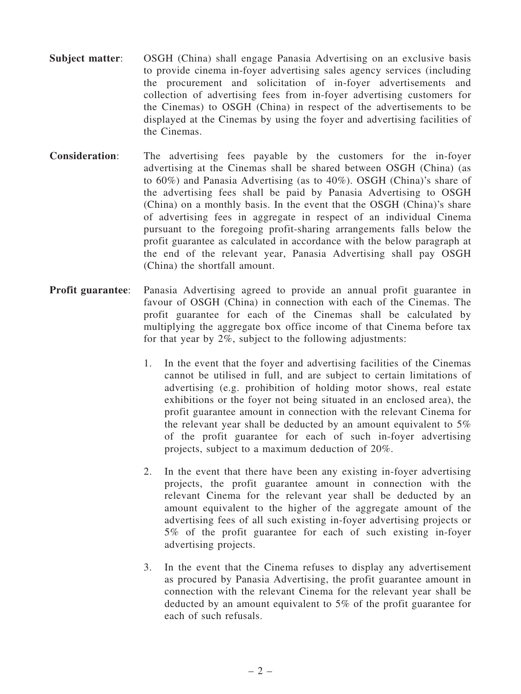- Subject matter: OSGH (China) shall engage Panasia Advertising on an exclusive basis to provide cinema in-foyer advertising sales agency services (including the procurement and solicitation of in-foyer advertisements and collection of advertising fees from in-foyer advertising customers for the Cinemas) to OSGH (China) in respect of the advertisements to be displayed at the Cinemas by using the foyer and advertising facilities of the Cinemas.
- Consideration: The advertising fees payable by the customers for the in-foyer advertising at the Cinemas shall be shared between OSGH (China) (as to 60%) and Panasia Advertising (as to 40%). OSGH (China)'s share of the advertising fees shall be paid by Panasia Advertising to OSGH (China) on a monthly basis. In the event that the OSGH (China)'s share of advertising fees in aggregate in respect of an individual Cinema pursuant to the foregoing profit-sharing arrangements falls below the profit guarantee as calculated in accordance with the below paragraph at the end of the relevant year, Panasia Advertising shall pay OSGH (China) the shortfall amount.
- Profit guarantee: Panasia Advertising agreed to provide an annual profit guarantee in favour of OSGH (China) in connection with each of the Cinemas. The profit guarantee for each of the Cinemas shall be calculated by multiplying the aggregate box office income of that Cinema before tax for that year by  $2\%$ , subject to the following adjustments:
	- 1. In the event that the foyer and advertising facilities of the Cinemas cannot be utilised in full, and are subject to certain limitations of advertising (e.g. prohibition of holding motor shows, real estate exhibitions or the foyer not being situated in an enclosed area), the profit guarantee amount in connection with the relevant Cinema for the relevant year shall be deducted by an amount equivalent to 5% of the profit guarantee for each of such in-foyer advertising projects, subject to a maximum deduction of 20%.
	- 2. In the event that there have been any existing in-foyer advertising projects, the profit guarantee amount in connection with the relevant Cinema for the relevant year shall be deducted by an amount equivalent to the higher of the aggregate amount of the advertising fees of all such existing in-foyer advertising projects or 5% of the profit guarantee for each of such existing in-foyer advertising projects.
	- 3. In the event that the Cinema refuses to display any advertisement as procured by Panasia Advertising, the profit guarantee amount in connection with the relevant Cinema for the relevant year shall be deducted by an amount equivalent to 5% of the profit guarantee for each of such refusals.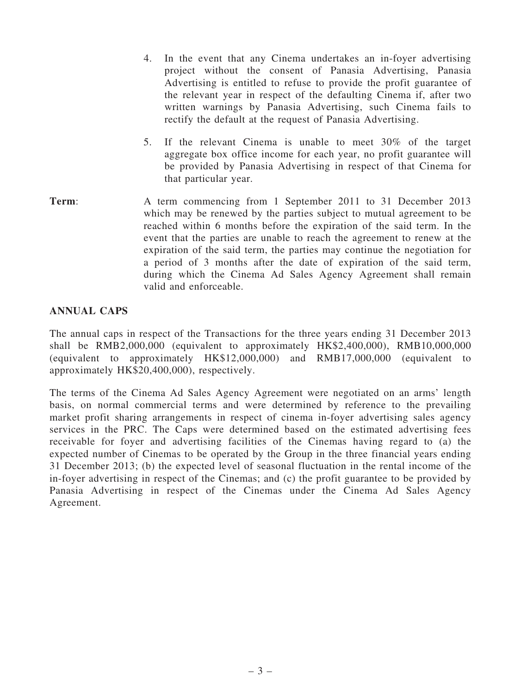- 4. In the event that any Cinema undertakes an in-foyer advertising project without the consent of Panasia Advertising, Panasia Advertising is entitled to refuse to provide the profit guarantee of the relevant year in respect of the defaulting Cinema if, after two written warnings by Panasia Advertising, such Cinema fails to rectify the default at the request of Panasia Advertising.
- 5. If the relevant Cinema is unable to meet 30% of the target aggregate box office income for each year, no profit guarantee will be provided by Panasia Advertising in respect of that Cinema for that particular year.
- Term: A term commencing from 1 September 2011 to 31 December 2013 which may be renewed by the parties subject to mutual agreement to be reached within 6 months before the expiration of the said term. In the event that the parties are unable to reach the agreement to renew at the expiration of the said term, the parties may continue the negotiation for a period of 3 months after the date of expiration of the said term, during which the Cinema Ad Sales Agency Agreement shall remain valid and enforceable.

#### ANNUAL CAPS

The annual caps in respect of the Transactions for the three years ending 31 December 2013 shall be RMB2,000,000 (equivalent to approximately HK\$2,400,000), RMB10,000,000 (equivalent to approximately HK\$12,000,000) and RMB17,000,000 (equivalent to approximately HK\$20,400,000), respectively.

The terms of the Cinema Ad Sales Agency Agreement were negotiated on an arms' length basis, on normal commercial terms and were determined by reference to the prevailing market profit sharing arrangements in respect of cinema in-foyer advertising sales agency services in the PRC. The Caps were determined based on the estimated advertising fees receivable for foyer and advertising facilities of the Cinemas having regard to (a) the expected number of Cinemas to be operated by the Group in the three financial years ending 31 December 2013; (b) the expected level of seasonal fluctuation in the rental income of the in-foyer advertising in respect of the Cinemas; and (c) the profit guarantee to be provided by Panasia Advertising in respect of the Cinemas under the Cinema Ad Sales Agency Agreement.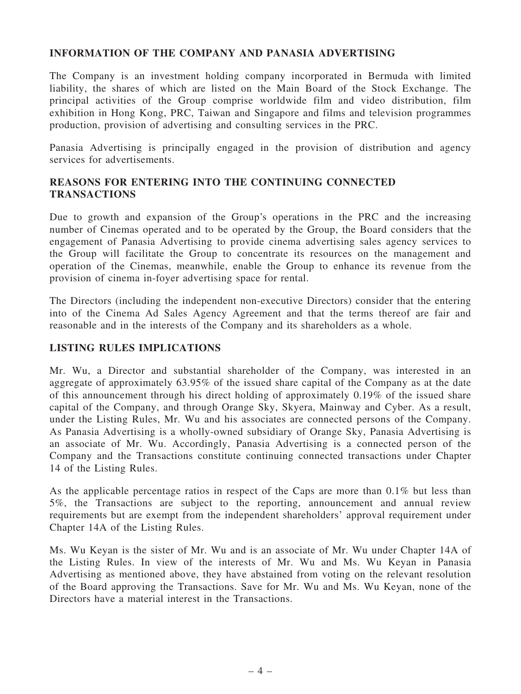#### INFORMATION OF THE COMPANY AND PANASIA ADVERTISING

The Company is an investment holding company incorporated in Bermuda with limited liability, the shares of which are listed on the Main Board of the Stock Exchange. The principal activities of the Group comprise worldwide film and video distribution, film exhibition in Hong Kong, PRC, Taiwan and Singapore and films and television programmes production, provision of advertising and consulting services in the PRC.

Panasia Advertising is principally engaged in the provision of distribution and agency services for advertisements.

#### REASONS FOR ENTERING INTO THE CONTINUING CONNECTED TRANSACTIONS

Due to growth and expansion of the Group's operations in the PRC and the increasing number of Cinemas operated and to be operated by the Group, the Board considers that the engagement of Panasia Advertising to provide cinema advertising sales agency services to the Group will facilitate the Group to concentrate its resources on the management and operation of the Cinemas, meanwhile, enable the Group to enhance its revenue from the provision of cinema in-foyer advertising space for rental.

The Directors (including the independent non-executive Directors) consider that the entering into of the Cinema Ad Sales Agency Agreement and that the terms thereof are fair and reasonable and in the interests of the Company and its shareholders as a whole.

#### LISTING RULES IMPLICATIONS

Mr. Wu, a Director and substantial shareholder of the Company, was interested in an aggregate of approximately 63.95% of the issued share capital of the Company as at the date of this announcement through his direct holding of approximately 0.19% of the issued share capital of the Company, and through Orange Sky, Skyera, Mainway and Cyber. As a result, under the Listing Rules, Mr. Wu and his associates are connected persons of the Company. As Panasia Advertising is a wholly-owned subsidiary of Orange Sky, Panasia Advertising is an associate of Mr. Wu. Accordingly, Panasia Advertising is a connected person of the Company and the Transactions constitute continuing connected transactions under Chapter 14 of the Listing Rules.

As the applicable percentage ratios in respect of the Caps are more than 0.1% but less than 5%, the Transactions are subject to the reporting, announcement and annual review requirements but are exempt from the independent shareholders' approval requirement under Chapter 14A of the Listing Rules.

Ms. Wu Keyan is the sister of Mr. Wu and is an associate of Mr. Wu under Chapter 14A of the Listing Rules. In view of the interests of Mr. Wu and Ms. Wu Keyan in Panasia Advertising as mentioned above, they have abstained from voting on the relevant resolution of the Board approving the Transactions. Save for Mr. Wu and Ms. Wu Keyan, none of the Directors have a material interest in the Transactions.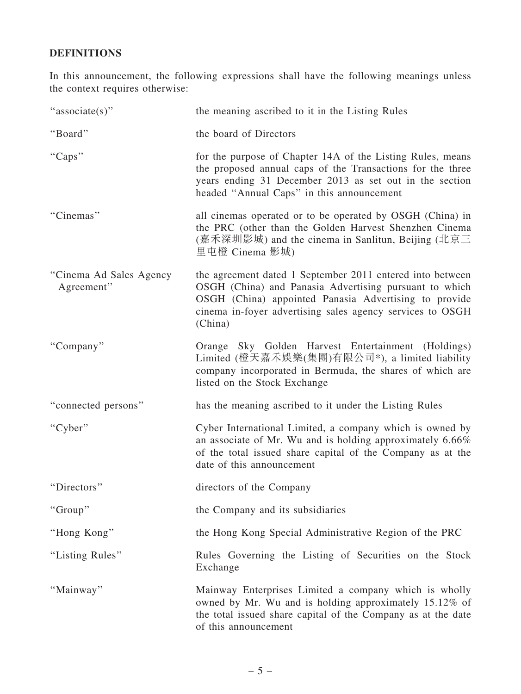## DEFINITIONS

In this announcement, the following expressions shall have the following meanings unless the context requires otherwise:

| "associate(s)"                        | the meaning ascribed to it in the Listing Rules                                                                                                                                                                                                      |
|---------------------------------------|------------------------------------------------------------------------------------------------------------------------------------------------------------------------------------------------------------------------------------------------------|
| "Board"                               | the board of Directors                                                                                                                                                                                                                               |
| "Caps"                                | for the purpose of Chapter 14A of the Listing Rules, means<br>the proposed annual caps of the Transactions for the three<br>years ending 31 December 2013 as set out in the section<br>headed "Annual Caps" in this announcement                     |
| "Cinemas"                             | all cinemas operated or to be operated by OSGH (China) in<br>the PRC (other than the Golden Harvest Shenzhen Cinema<br>(嘉禾深圳影城) and the cinema in Sanlitun, Beijing (北京三<br>里屯橙 Cinema 影城)                                                           |
| "Cinema Ad Sales Agency<br>Agreement" | the agreement dated 1 September 2011 entered into between<br>OSGH (China) and Panasia Advertising pursuant to which<br>OSGH (China) appointed Panasia Advertising to provide<br>cinema in-foyer advertising sales agency services to OSGH<br>(China) |
| "Company"                             | Orange Sky Golden Harvest Entertainment (Holdings)<br>Limited (橙天嘉禾娛樂(集團)有限公司*), a limited liability<br>company incorporated in Bermuda, the shares of which are<br>listed on the Stock Exchange                                                     |
| "connected persons"                   | has the meaning ascribed to it under the Listing Rules                                                                                                                                                                                               |
| "Cyber"                               | Cyber International Limited, a company which is owned by<br>an associate of Mr. Wu and is holding approximately 6.66%<br>of the total issued share capital of the Company as at the<br>date of this announcement                                     |
| "Directors"                           | directors of the Company                                                                                                                                                                                                                             |
| "Group"                               | the Company and its subsidiaries                                                                                                                                                                                                                     |
| "Hong Kong"                           | the Hong Kong Special Administrative Region of the PRC                                                                                                                                                                                               |
| "Listing Rules"                       | Rules Governing the Listing of Securities on the Stock<br>Exchange                                                                                                                                                                                   |
| "Mainway"                             | Mainway Enterprises Limited a company which is wholly<br>owned by Mr. Wu and is holding approximately 15.12% of<br>the total issued share capital of the Company as at the date<br>of this announcement                                              |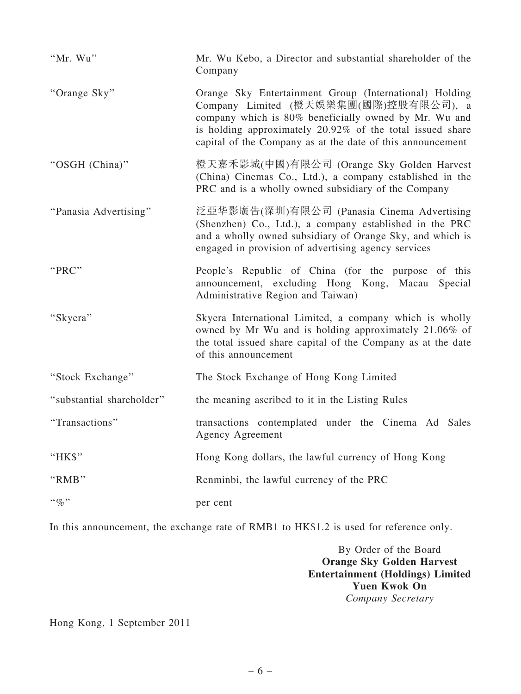| "Mr. Wu"                  | Mr. Wu Kebo, a Director and substantial shareholder of the<br>Company                                                                                                                                                                                                               |
|---------------------------|-------------------------------------------------------------------------------------------------------------------------------------------------------------------------------------------------------------------------------------------------------------------------------------|
| "Orange Sky"              | Orange Sky Entertainment Group (International) Holding<br>Company Limited (橙天娛樂集團(國際)控股有限公司), a<br>company which is 80% beneficially owned by Mr. Wu and<br>is holding approximately 20.92% of the total issued share<br>capital of the Company as at the date of this announcement |
| "OSGH (China)"            | 橙天嘉禾影城(中國)有限公司 (Orange Sky Golden Harvest<br>(China) Cinemas Co., Ltd.), a company established in the<br>PRC and is a wholly owned subsidiary of the Company                                                                                                                        |
| "Panasia Advertising"     | 泛亞华影廣告(深圳)有限公司 (Panasia Cinema Advertising<br>(Shenzhen) Co., Ltd.), a company established in the PRC<br>and a wholly owned subsidiary of Orange Sky, and which is<br>engaged in provision of advertising agency services                                                           |
| "PRC"                     | People's Republic of China (for the purpose of this<br>announcement, excluding Hong Kong, Macau Special<br>Administrative Region and Taiwan)                                                                                                                                        |
| "Skyera"                  | Skyera International Limited, a company which is wholly<br>owned by Mr Wu and is holding approximately 21.06% of<br>the total issued share capital of the Company as at the date<br>of this announcement                                                                            |
| "Stock Exchange"          | The Stock Exchange of Hong Kong Limited                                                                                                                                                                                                                                             |
| "substantial shareholder" | the meaning ascribed to it in the Listing Rules                                                                                                                                                                                                                                     |
| "Transactions"            | transactions contemplated under the Cinema Ad Sales<br>Agency Agreement                                                                                                                                                                                                             |
| " $HKS$ "                 | Hong Kong dollars, the lawful currency of Hong Kong                                                                                                                                                                                                                                 |
| "RMB"                     | Renminbi, the lawful currency of the PRC                                                                                                                                                                                                                                            |
| $\lq\lq q_0$ "            | per cent                                                                                                                                                                                                                                                                            |

In this announcement, the exchange rate of RMB1 to HK\$1.2 is used for reference only.

By Order of the Board Orange Sky Golden Harvest Entertainment (Holdings) Limited Yuen Kwok On *Company Secretary*

Hong Kong, 1 September 2011